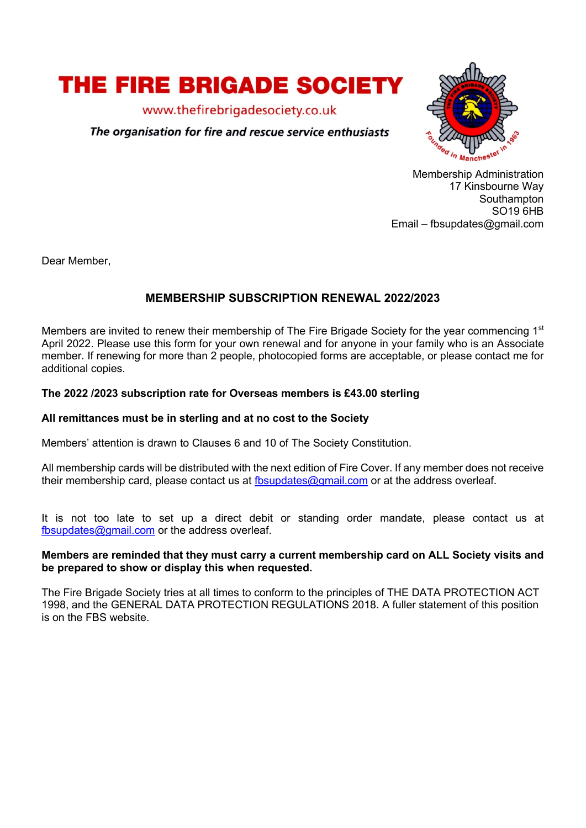

www.thefirebrigadesociety.co.uk

# The organisation for fire and rescue service enthusiasts



Membership Administration 17 Kinsbourne Way Southampton SO19 6HB Email – fbsupdates@gmail.com

Dear Member,

# **MEMBERSHIP SUBSCRIPTION RENEWAL 2022/2023**

Members are invited to renew their membership of The Fire Brigade Society for the year commencing 1<sup>st</sup> April 2022. Please use this form for your own renewal and for anyone in your family who is an Associate member. If renewing for more than 2 people, photocopied forms are acceptable, or please contact me for additional copies.

## **The 2022 /2023 subscription rate for Overseas members is £43.00 sterling**

### **All remittances must be in sterling and at no cost to the Society**

Members' attention is drawn to Clauses 6 and 10 of The Society Constitution.

All membership cards will be distributed with the next edition of Fire Cover. If any member does not receive their membership card, please contact us at fbsupdates@gmail.com or at the address overleaf.

It is not too late to set up a direct debit or standing order mandate, please contact us at fbsupdates@gmail.com or the address overleaf.

#### **Members are reminded that they must carry a current membership card on ALL Society visits and be prepared to show or display this when requested.**

The Fire Brigade Society tries at all times to conform to the principles of THE DATA PROTECTION ACT 1998, and the GENERAL DATA PROTECTION REGULATIONS 2018. A fuller statement of this position is on the FBS website.